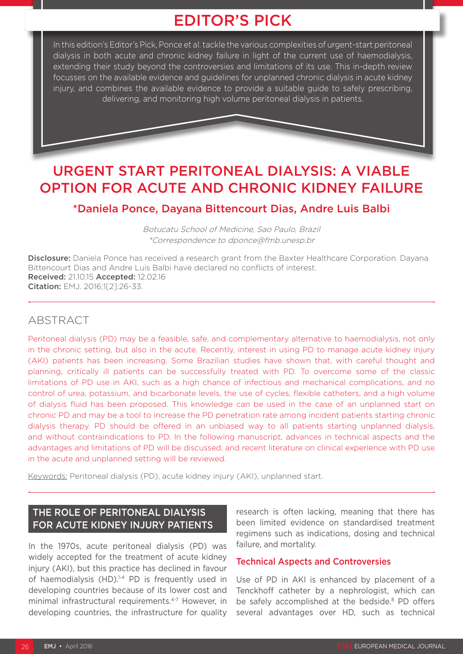# EDITOR'S PICK

In this edition's Editor's Pick, Ponce et al. tackle the various complexities of urgent-start peritoneal dialysis in both acute and chronic kidney failure in light of the current use of haemodialysis. extending their study beyond the controversies and limitations of its use. This in-depth review focusses on the available evidence and guidelines for unplanned chronic dialysis in acute kidney injury, and combines the available evidence to provide a suitable guide to safely prescribing, delivering, and monitoring high volume peritoneal dialysis in patients.

# URGENT START PERITONEAL DIALYSIS: A VIABLE OPTION FOR ACUTE AND CHRONIC KIDNEY FAILURE

# \*Daniela Ponce, Dayana Bittencourt Dias, Andre Luis Balbi

Botucatu School of Medicine, Sao Paulo, Brazil \*Correspondence to dponce@fmb.unesp.br

Disclosure: Daniela Ponce has received a research grant from the Baxter Healthcare Corporation. Dayana Bittencourt Dias and Andre Luis Balbi have declared no conflicts of interest. Received: 21.10.15 Accepted: 12.02.16 Citation: EMJ. 2016;1[2]:26-33.

## ABSTRACT

Peritoneal dialysis (PD) may be a feasible, safe, and complementary alternative to haemodialysis, not only in the chronic setting, but also in the acute. Recently, interest in using PD to manage acute kidney injury (AKI) patients has been increasing. Some Brazilian studies have shown that, with careful thought and planning, critically ill patients can be successfully treated with PD. To overcome some of the classic limitations of PD use in AKI, such as a high chance of infectious and mechanical complications, and no control of urea, potassium, and bicarbonate levels, the use of cycles, flexible catheters, and a high volume of dialysis fluid has been proposed. This knowledge can be used in the case of an unplanned start on chronic PD and may be a tool to increase the PD penetration rate among incident patients starting chronic dialysis therapy. PD should be offered in an unbiased way to all patients starting unplanned dialysis, and without contraindications to PD. In the following manuscript, advances in technical aspects and the advantages and limitations of PD will be discussed, and recent literature on clinical experience with PD use in the acute and unplanned setting will be reviewed.

Keywords: Peritoneal dialysis (PD), acute kidney injury (AKI), unplanned start.

# THE ROLE OF PERITONEAL DIALYSIS FOR ACUTE KIDNEY INJURY PATIENTS

In the 1970s, acute peritoneal dialysis (PD) was widely accepted for the treatment of acute kidney injury (AKI), but this practice has declined in favour of haemodialysis  $(HD)$ .<sup>1-4</sup> PD is frequently used in developing countries because of its lower cost and minimal infrastructural requirements.4-7 However, in developing countries, the infrastructure for quality

research is often lacking, meaning that there has been limited evidence on standardised treatment regimens such as indications, dosing and technical failure, and mortality.

## Technical Aspects and Controversies

Use of PD in AKI is enhanced by placement of a Tenckhoff catheter by a nephrologist, which can be safely accomplished at the bedside.<sup>8</sup> PD offers several advantages over HD, such as technical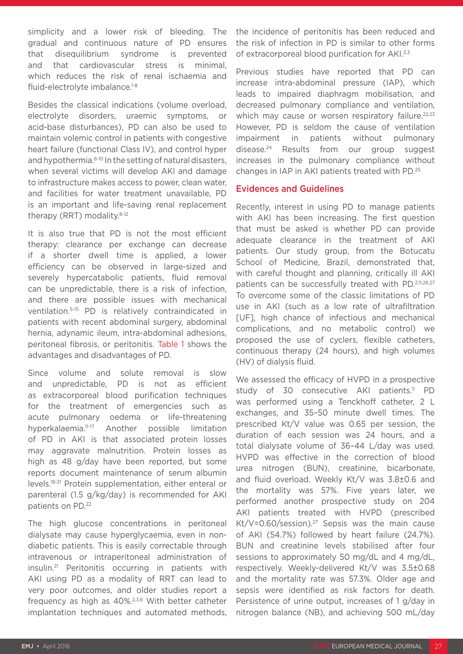simplicity and a lower risk of bleeding. The gradual and continuous nature of PD ensures that disequilibrium syndrome is prevented and that cardiovascular stress is minimal, which reduces the risk of renal ischaemia and fluid-electrolyte imbalance.1-8

Besides the classical indications (volume overload, electrolyte disorders, uraemic symptoms, or acid-base disturbances), PD can also be used to maintain volemic control in patients with congestive heart failure (functional Class IV), and control hyper and hypothermia.<sup>6-10</sup> In the setting of natural disasters, when several victims will develop AKI and damage to infrastructure makes access to power, clean water, and facilities for water treatment unavailable, PD is an important and life-saving renal replacement therapy (RRT) modality.<sup>8-12</sup>

It is also true that PD is not the most efficient therapy: clearance per exchange can decrease if a shorter dwell time is applied, a lower efficiency can be observed in large-sized and severely hypercatabolic patients, fluid removal can be unpredictable, there is a risk of infection, and there are possible issues with mechanical ventilation.5-15 PD is relatively contraindicated in patients with recent abdominal surgery, abdominal hernia, adynamic ileum, intra-abdominal adhesions, peritoneal fibrosis, or peritonitis. Table 1 shows the advantages and disadvantages of PD.

Since volume and solute removal is slow and unpredictable, PD is not as efficient as extracorporeal blood purification techniques for the treatment of emergencies such as acute pulmonary oedema or life-threatening hyperkalaemia.11-17 Another possible limitation of PD in AKI is that associated protein losses may aggravate malnutrition. Protein losses as high as 48 g/day have been reported, but some reports document maintenance of serum albumin levels.18-21 Protein supplementation, either enteral or parenteral (1.5 g/kg/day) is recommended for AKI patients on PD.<sup>22</sup>

The high glucose concentrations in peritoneal dialysate may cause hyperglycaemia, even in nondiabetic patients. This is easily correctable through intravenous or intraperitoneal administration of insulin.21 Peritonitis occurring in patients with AKI using PD as a modality of RRT can lead to very poor outcomes, and older studies report a frequency as high as 40%.2,3,6 With better catheter implantation techniques and automated methods,

the incidence of peritonitis has been reduced and the risk of infection in PD is similar to other forms of extracorporeal blood purification for AKI.<sup>2,3</sup>

Previous studies have reported that PD can increase intra-abdominal pressure (IAP), which leads to impaired diaphragm mobilisation, and decreased pulmonary compliance and ventilation, which may cause or worsen respiratory failure.<sup>22,23</sup> However, PD is seldom the cause of ventilation impairment in patients without pulmonary disease.24 Results from our group suggest increases in the pulmonary compliance without changes in IAP in AKI patients treated with PD.25

## Evidences and Guidelines

Recently, interest in using PD to manage patients with AKI has been increasing. The first question that must be asked is whether PD can provide adequate clearance in the treatment of AKI patients. Our study group, from the Botucatu School of Medicine, Brazil, demonstrated that, with careful thought and planning, critically ill AKI patients can be successfully treated with PD.<sup>2,11,26,27</sup> To overcome some of the classic limitations of PD use in AKI (such as a low rate of ultrafiltration [UF], high chance of infectious and mechanical complications, and no metabolic control) we proposed the use of cyclers, flexible catheters, continuous therapy (24 hours), and high volumes (HV) of dialysis fluid.

We assessed the efficacy of HVPD in a prospective study of 30 consecutive  $AKI$  patients.<sup>11</sup> PD was performed using a Tenckhoff catheter, 2 L exchanges, and 35–50 minute dwell times. The prescribed Kt/V value was 0.65 per session, the duration of each session was 24 hours, and a total dialysate volume of 36–44 L/day was used. HVPD was effective in the correction of blood urea nitrogen (BUN), creatinine, bicarbonate, and fluid overload. Weekly Kt/V was 3.8±0.6 and the mortality was 57%. Five years later, we performed another prospective study on 204 AKI patients treated with HVPD (prescribed Kt/V=0.60/session).<sup>27</sup> Sepsis was the main cause of AKI (54.7%) followed by heart failure (24.7%). BUN and creatinine levels stabilised after four sessions to approximately 50 mg/dL and 4 mg/dL, respectively. Weekly-delivered Kt/V was 3.5±0.68 and the mortality rate was 57.3%. Older age and sepsis were identified as risk factors for death. Persistence of urine output, increases of 1 g/day in nitrogen balance (NB), and achieving 500 mL/day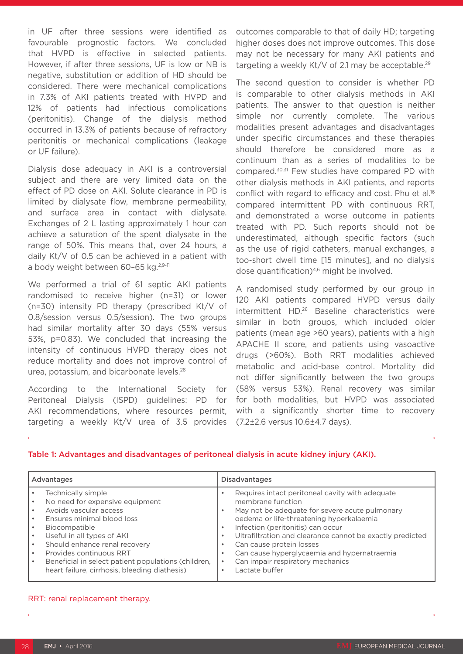in UF after three sessions were identified as favourable prognostic factors. We concluded that HVPD is effective in selected patients. However, if after three sessions, UF is low or NB is negative, substitution or addition of HD should be considered. There were mechanical complications in 7.3% of AKI patients treated with HVPD and 12% of patients had infectious complications (peritonitis). Change of the dialysis method occurred in 13.3% of patients because of refractory peritonitis or mechanical complications (leakage or UF failure).

Dialysis dose adequacy in AKI is a controversial subject and there are very limited data on the effect of PD dose on AKI. Solute clearance in PD is limited by dialysate flow, membrane permeability, and surface area in contact with dialysate. Exchanges of 2 L lasting approximately 1 hour can achieve a saturation of the spent dialysate in the range of 50%. This means that, over 24 hours, a daily Kt/V of 0.5 can be achieved in a patient with a body weight between 60-65 kg.<sup>2,9-11</sup>

We performed a trial of 61 septic AKI patients randomised to receive higher (n=31) or lower (n=30) intensity PD therapy (prescribed Kt/V of 0.8/session versus 0.5/session). The two groups had similar mortality after 30 days (55% versus 53%, p=0.83). We concluded that increasing the intensity of continuous HVPD therapy does not reduce mortality and does not improve control of urea, potassium, and bicarbonate levels.28

According to the International Society for Peritoneal Dialysis (ISPD) guidelines: PD for AKI recommendations, where resources permit, targeting a weekly Kt/V urea of 3.5 provides outcomes comparable to that of daily HD; targeting higher doses does not improve outcomes. This dose may not be necessary for many AKI patients and targeting a weekly Kt/V of 2.1 may be acceptable.<sup>29</sup>

The second question to consider is whether PD is comparable to other dialysis methods in AKI patients. The answer to that question is neither simple nor currently complete. The various modalities present advantages and disadvantages under specific circumstances and these therapies should therefore be considered more as a continuum than as a series of modalities to be compared.30,31 Few studies have compared PD with other dialysis methods in AKI patients, and reports conflict with regard to efficacy and cost. Phu et al.<sup>16</sup> compared intermittent PD with continuous RRT, and demonstrated a worse outcome in patients treated with PD. Such reports should not be underestimated, although specific factors (such as the use of rigid catheters, manual exchanges, a too-short dwell time [15 minutes], and no dialysis dose quantification)4,6 might be involved.

A randomised study performed by our group in 120 AKI patients compared HVPD versus daily intermittent HD.26 Baseline characteristics were similar in both groups, which included older patients (mean age >60 years), patients with a high APACHE II score, and patients using vasoactive drugs (>60%). Both RRT modalities achieved metabolic and acid-base control. Mortality did not differ significantly between the two groups (58% versus 53%). Renal recovery was similar for both modalities, but HVPD was associated with a significantly shorter time to recovery (7.2±2.6 versus 10.6±4.7 days).

#### Table 1: Advantages and disadvantages of peritoneal dialysis in acute kidney injury (AKI).

| Advantages                                                                                                                                                                                                                                                                                                                       | <b>Disadvantages</b>                                                                                                                                                                                                                                                                                                                                                                                               |
|----------------------------------------------------------------------------------------------------------------------------------------------------------------------------------------------------------------------------------------------------------------------------------------------------------------------------------|--------------------------------------------------------------------------------------------------------------------------------------------------------------------------------------------------------------------------------------------------------------------------------------------------------------------------------------------------------------------------------------------------------------------|
| Technically simple<br>No need for expensive equipment<br>Avoids vascular access<br>Ensures minimal blood loss<br>Biocompatible<br>Useful in all types of AKI<br>Should enhance renal recovery<br>Provides continuous RRT<br>Beneficial in select patient populations (children,<br>heart failure, cirrhosis, bleeding diathesis) | Requires intact peritoneal cavity with adequate<br>membrane function<br>May not be adequate for severe acute pulmonary<br>oedema or life-threatening hyperkalaemia<br>Infection (peritonitis) can occur<br>Ultrafiltration and clearance cannot be exactly predicted<br>Can cause protein losses<br>Can cause hyperglycaemia and hypernatraemia<br>$\bullet$<br>Can impair respiratory mechanics<br>Lactate buffer |

#### RRT: renal replacement therapy.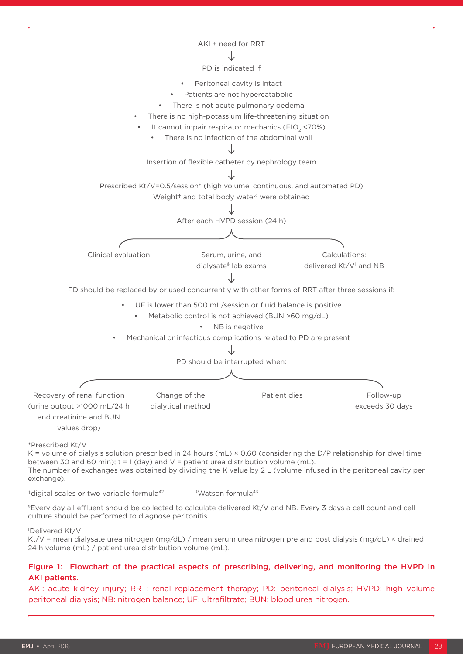

†digital scales or two variable formula42 ‡ Watson formula43

§Every day all effluent should be collected to calculate delivered Kt/V and NB. Every 3 days a cell count and cell culture should be performed to diagnose peritonitis.

#### ‖ Delivered Kt/V

Kt/V = mean dialysate urea nitrogen (mg/dL) / mean serum urea nitrogen pre and post dialysis (mg/dL) × drained 24 h volume (mL) / patient urea distribution volume (mL).

#### Figure 1: Flowchart of the practical aspects of prescribing, delivering, and monitoring the HVPD in AKI patients.

AKI: acute kidney injury; RRT: renal replacement therapy; PD: peritoneal dialysis; HVPD: high volume peritoneal dialysis; NB: nitrogen balance; UF: ultrafiltrate; BUN: blood urea nitrogen.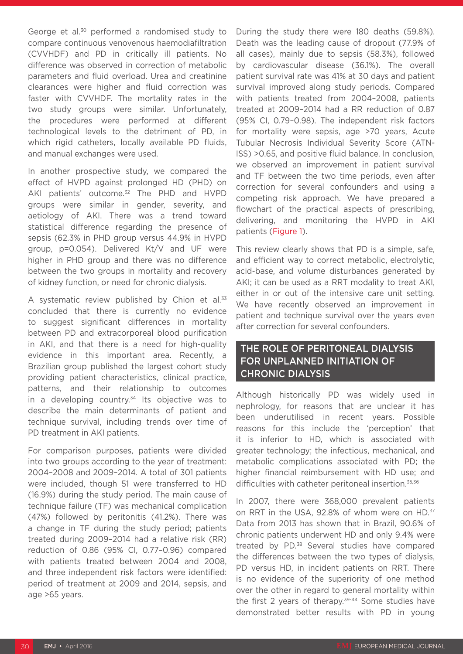George et al.30 performed a randomised study to compare continuous venovenous haemodiafiltration (CVVHDF) and PD in critically ill patients. No difference was observed in correction of metabolic parameters and fluid overload. Urea and creatinine clearances were higher and fluid correction was faster with CVVHDF. The mortality rates in the two study groups were similar. Unfortunately, the procedures were performed at different technological levels to the detriment of PD, in which rigid catheters, locally available PD fluids, and manual exchanges were used.

In another prospective study, we compared the effect of HVPD against prolonged HD (PHD) on AKI patients' outcome.<sup>32</sup> The PHD and HVPD groups were similar in gender, severity, and aetiology of AKI. There was a trend toward statistical difference regarding the presence of sepsis (62.3% in PHD group versus 44.9% in HVPD group, p=0.054). Delivered Kt/V and UF were higher in PHD group and there was no difference between the two groups in mortality and recovery of kidney function, or need for chronic dialysis.

A systematic review published by Chion et al.<sup>33</sup> concluded that there is currently no evidence to suggest significant differences in mortality between PD and extracorporeal blood purification in AKI, and that there is a need for high-quality evidence in this important area. Recently, a Brazilian group published the largest cohort study providing patient characteristics, clinical practice, patterns, and their relationship to outcomes in a developing country. $34$  Its objective was to describe the main determinants of patient and technique survival, including trends over time of PD treatment in AKI patients.

For comparison purposes, patients were divided into two groups according to the year of treatment: 2004–2008 and 2009–2014. A total of 301 patients were included, though 51 were transferred to HD (16.9%) during the study period. The main cause of technique failure (TF) was mechanical complication (47%) followed by peritonitis (41.2%). There was a change in TF during the study period; patients treated during 2009–2014 had a relative risk (RR) reduction of 0.86 (95% CI, 0.77–0.96) compared with patients treated between 2004 and 2008, and three independent risk factors were identified: period of treatment at 2009 and 2014, sepsis, and age >65 years.

During the study there were 180 deaths (59.8%). Death was the leading cause of dropout (77.9% of all cases), mainly due to sepsis (58.3%), followed by cardiovascular disease (36.1%). The overall patient survival rate was 41% at 30 days and patient survival improved along study periods. Compared with patients treated from 2004–2008, patients treated at 2009–2014 had a RR reduction of 0.87 (95% CI, 0.79–0.98). The independent risk factors for mortality were sepsis, age >70 years, Acute Tubular Necrosis Individual Severity Score (ATN-ISS) >0.65, and positive fluid balance. In conclusion, we observed an improvement in patient survival and TF between the two time periods, even after correction for several confounders and using a competing risk approach. We have prepared a flowchart of the practical aspects of prescribing, delivering, and monitoring the HVPD in AKI patients (Figure 1).

This review clearly shows that PD is a simple, safe, and efficient way to correct metabolic, electrolytic, acid-base, and volume disturbances generated by AKI; it can be used as a RRT modality to treat AKI, either in or out of the intensive care unit setting. We have recently observed an improvement in patient and technique survival over the years even after correction for several confounders.

## THE ROLE OF PERITONEAL DIALYSIS FOR UNPLANNED INITIATION OF CHRONIC DIALYSIS

Although historically PD was widely used in nephrology, for reasons that are unclear it has been underutilised in recent years. Possible reasons for this include the 'perception' that it is inferior to HD, which is associated with greater technology; the infectious, mechanical, and metabolic complications associated with PD; the higher financial reimbursement with HD use; and difficulties with catheter peritoneal insertion.<sup>35,36</sup>

In 2007, there were 368,000 prevalent patients on RRT in the USA, 92.8% of whom were on HD.<sup>37</sup> Data from 2013 has shown that in Brazil, 90.6% of chronic patients underwent HD and only 9.4% were treated by PD.<sup>38</sup> Several studies have compared the differences between the two types of dialysis, PD versus HD, in incident patients on RRT. There is no evidence of the superiority of one method over the other in regard to general mortality within the first 2 years of therapy.39-44 Some studies have demonstrated better results with PD in young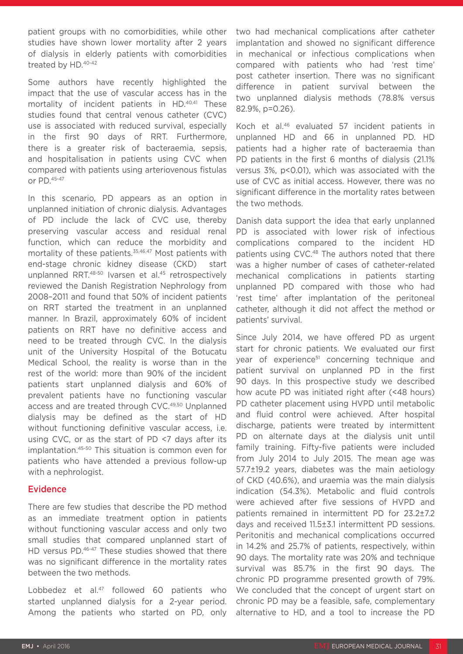patient groups with no comorbidities, while other studies have shown lower mortality after 2 years of dialysis in elderly patients with comorbidities treated by HD.40-42

Some authors have recently highlighted the impact that the use of vascular access has in the mortality of incident patients in HD.40,41 These studies found that central venous catheter (CVC) use is associated with reduced survival, especially in the first 90 days of RRT. Furthermore, there is a greater risk of bacteraemia, sepsis, and hospitalisation in patients using CVC when compared with patients using arteriovenous fistulas or PD.45-47

In this scenario, PD appears as an option in unplanned initiation of chronic dialysis. Advantages of PD include the lack of CVC use, thereby preserving vascular access and residual renal function, which can reduce the morbidity and mortality of these patients.<sup>35,46,47</sup> Most patients with end-stage chronic kidney disease (CKD) start unplanned RRT.48-50 Ivarsen et al.45 retrospectively reviewed the Danish Registration Nephrology from 2008–2011 and found that 50% of incident patients on RRT started the treatment in an unplanned manner. In Brazil, approximately 60% of incident patients on RRT have no definitive access and need to be treated through CVC. In the dialysis unit of the University Hospital of the Botucatu Medical School, the reality is worse than in the rest of the world: more than 90% of the incident patients start unplanned dialysis and 60% of prevalent patients have no functioning vascular access and are treated through CVC.49,50 Unplanned dialysis may be defined as the start of HD without functioning definitive vascular access, i.e. using CVC, or as the start of PD <7 days after its implantation.45-50 This situation is common even for patients who have attended a previous follow-up with a nephrologist.

## Evidence

There are few studies that describe the PD method as an immediate treatment option in patients without functioning vascular access and only two small studies that compared unplanned start of HD versus PD.<sup>46-47</sup> These studies showed that there was no significant difference in the mortality rates between the two methods.

Lobbedez et al.<sup>47</sup> followed 60 patients who started unplanned dialysis for a 2-year period. Among the patients who started on PD, only two had mechanical complications after catheter implantation and showed no significant difference in mechanical or infectious complications when compared with patients who had 'rest time' post catheter insertion. There was no significant difference in patient survival between the two unplanned dialysis methods (78.8% versus 82.9%, p=0.26).

Koch et al.46 evaluated 57 incident patients in unplanned HD and 66 in unplanned PD. HD patients had a higher rate of bacteraemia than PD patients in the first 6 months of dialysis (21.1% versus 3%, p<0.01), which was associated with the use of CVC as initial access. However, there was no significant difference in the mortality rates between the two methods.

Danish data support the idea that early unplanned PD is associated with lower risk of infectious complications compared to the incident HD patients using CVC.<sup>48</sup> The authors noted that there was a higher number of cases of catheter-related mechanical complications in patients starting unplanned PD compared with those who had 'rest time' after implantation of the peritoneal catheter, although it did not affect the method or patients' survival.

Since July 2014, we have offered PD as urgent start for chronic patients. We evaluated our first year of experience<sup>51</sup> concerning technique and patient survival on unplanned PD in the first 90 days. In this prospective study we described how acute PD was initiated right after (<48 hours) PD catheter placement using HVPD until metabolic and fluid control were achieved. After hospital discharge, patients were treated by intermittent PD on alternate days at the dialysis unit until family training. Fifty-five patients were included from July 2014 to July 2015. The mean age was 57.7±19.2 years, diabetes was the main aetiology of CKD (40.6%), and uraemia was the main dialysis indication (54.3%). Metabolic and fluid controls were achieved after five sessions of HVPD and patients remained in intermittent PD for 23.2±7.2 days and received 11.5±3.1 intermittent PD sessions. Peritonitis and mechanical complications occurred in 14.2% and 25.7% of patients, respectively, within 90 days. The mortality rate was 20% and technique survival was 85.7% in the first 90 days. The chronic PD programme presented growth of 79%. We concluded that the concept of urgent start on chronic PD may be a feasible, safe, complementary alternative to HD, and a tool to increase the PD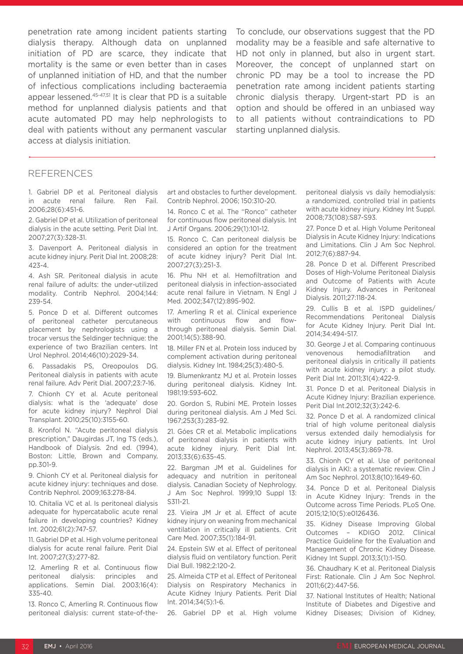penetration rate among incident patients starting dialysis therapy. Although data on unplanned initiation of PD are scarce, they indicate that mortality is the same or even better than in cases of unplanned initiation of HD, and that the number of infectious complications including bacteraemia appear lessened.45-47,51 It is clear that PD is a suitable method for unplanned dialysis patients and that acute automated PD may help nephrologists to deal with patients without any permanent vascular access at dialysis initiation.

To conclude, our observations suggest that the PD modality may be a feasible and safe alternative to HD not only in planned, but also in urgent start. Moreover, the concept of unplanned start on chronic PD may be a tool to increase the PD penetration rate among incident patients starting chronic dialysis therapy. Urgent-start PD is an option and should be offered in an unbiased way to all patients without contraindications to PD starting unplanned dialysis.

#### **REFERENCES**

1. Gabriel DP et al. Peritoneal dialysis in acute renal failure. Ren Fail. 2006;28(6):451-6.

2. Gabriel DP et al. Utilization of peritoneal dialysis in the acute setting. Perit Dial Int. 2007;27(3):328-31.

3. Davenport A. Peritoneal dialysis in acute kidney injury. Perit Dial Int. 2008;28: 423-4.

4. Ash SR. Peritoneal dialysis in acute renal failure of adults: the under-utilized modality. Contrib Nephrol. 2004;144: 239-54.

5. Ponce D et al. Different outcomes of peritoneal catheter percutaneous placement by nephrologists using a trocar versus the Seldinger technique: the experience of two Brazilian centers. Int Urol Nephrol. 2014;46(10):2029-34.

6. Passadakis PS, Oreopoulos DG. Peritoneal dialysis in patients with acute renal failure. Adv Perit Dial. 2007;23:7-16.

7. Chionh CY et al. Acute peritoneal dialysis: what is the 'adequate' dose for acute kidney injury? Nephrol Dial Transplant. 2010;25(10):3155-60.

8. Kronfol N. "Acute peritoneal dialysis prescription," Daugirdas JT, Ing TS (eds.), Handbook of Dialysis. 2nd ed. (1994), Boston: Little, Brown and Company, pp.301-9.

9. Chionh CY et al. Peritoneal dialysis for acute kidney injury: techniques and dose. Contrib Nephrol. 2009;163:278-84.

10. Chitalia VC et al. Is peritoneal dialysis adequate for hypercatabolic acute renal failure in developing countries? Kidney Int. 2002;61(2):747-57.

11. Gabriel DP et al. High volume peritoneal dialysis for acute renal failure. Perit Dial Int. 2007;27(3):277-82.

12. Amerling R et al. Continuous flow peritoneal dialysis: principles and applications. Semin Dial. 2003;16(4): 335-40.

13. Ronco C, Amerling R. Continuous flow peritoneal dialysis: current state-of-theart and obstacles to further development. Contrib Nephrol. 2006; 150:310-20.

14. Ronco C et al. The ''Ronco'' catheter for continuous flow peritoneal dialysis. Int J Artif Organs. 2006;29(1):101-12.

15. Ronco C. Can peritoneal dialysis be considered an option for the treatment of acute kidney injury? Perit Dial Int. 2007;27(3):251-3.

16. Phu NH et al. Hemofiltration and peritoneal dialysis in infection-associated acute renal failure in Vietnam. N Engl J Med. 2002;347(12):895-902.

17. Amerling R et al. Clinical experience with continuous flow and flowthrough peritoneal dialysis. Semin Dial. 2001;14(5):388-90.

18. Miller FN et al. Protein loss induced by complement activation during peritoneal dialysis. Kidney Int. 1984;25(3):480-5.

19. Blumenkrantz MJ et al. Protein losses during peritoneal dialysis. Kidney Int. 1981;19:593-602.

20. Gordon S, Rubini ME. Protein losses during peritoneal dialysis. Am J Med Sci. 1967;253(3):283-92.

21. Góes CR et al. Metabolic implications of peritoneal dialysis in patients with acute kidney injury. Perit Dial Int. 2013;33(6):635-45.

22. Bargman JM et al. Guidelines for adequacy and nutrition in peritoneal dialysis. Canadian Society of Nephrology. J Am Soc Nephrol. 1999;10 Suppl 13: S311-21.

23. Vieira JM Jr et al. Effect of acute kidney injury on weaning from mechanical ventilation in critically ill patients. Crit Care Med. 2007;35(1):184-91.

24. Epstein SW et al. Effect of peritoneal dialysis fluid on ventilatory function. Perit Dial Bull. 1982;2:120-2.

25. Almeida CTP et al. Effect of Peritoneal Dialysis on Respiratory Mechanics in Acute Kidney Injury Patients. Perit Dial Int. 2014;34(5):1-6.

26. Gabriel DP et al. High volume

peritoneal dialysis vs daily hemodialysis: a randomized, controlled trial in patients with acute kidney injury. Kidney Int Suppl. 2008;73(108):S87-S93.

27. Ponce D et al. High Volume Peritoneal Dialysis in Acute Kidney Injury: Indications and Limitations. Clin J Am Soc Nephrol. 2012;7(6):887-94.

28. Ponce D et al. Different Prescribed Doses of High-Volume Peritoneal Dialysis and Outcome of Patients with Acute Kidney Injury. Advances in Peritoneal Dialysis. 2011;27:118-24.

29. Cullis B et al. ISPD guidelines/ Recommendations Peritoneal Dialysis for Acute Kidney Injury. Perit Dial Int. 2014;34:494-517.

30. George J et al. Comparing continuous venovenous hemodiafiltration and peritoneal dialysis in critically ill patients with acute kidney injury: a pilot study. Perit Dial Int. 2011;31(4):422-9.

31. Ponce D et al. Peritoneal Dialysis in Acute Kidney Injury: Brazilian experience. Perit Dial Int.2012;32(3):242-6.

32. Ponce D et al. A randomized clinical trial of high volume peritoneal dialysis versus extended daily hemodialysis for acute kidney injury patients. Int Urol Nephrol. 2013;45(3):869-78.

33. Chionh CY et al. Use of peritoneal dialysis in AKI: a systematic review. Clin J Am Soc Nephrol. 2013;8(10):1649-60.

34. Ponce D et al. Peritoneal Dialysis in Acute Kidney Injury: Trends in the Outcome across Time Periods. PLoS One. 2015;12;10(5):e0126436.

35. Kidney Disease Improving Global Outcomes – KDIGO 2012. Clinical Practice Guideline for the Evaluation and Management of Chronic Kidney Disease. Kidney Int Suppl. 2013;3(1):1-150.

36. Chaudhary K et al. Peritoneal Dialysis First: Rationale. Clin J Am Soc Nephrol. 2011;6(2):447-56.

37. National Institutes of Health; National Institute of Diabetes and Digestive and Kidney Diseases; Division of Kidney,